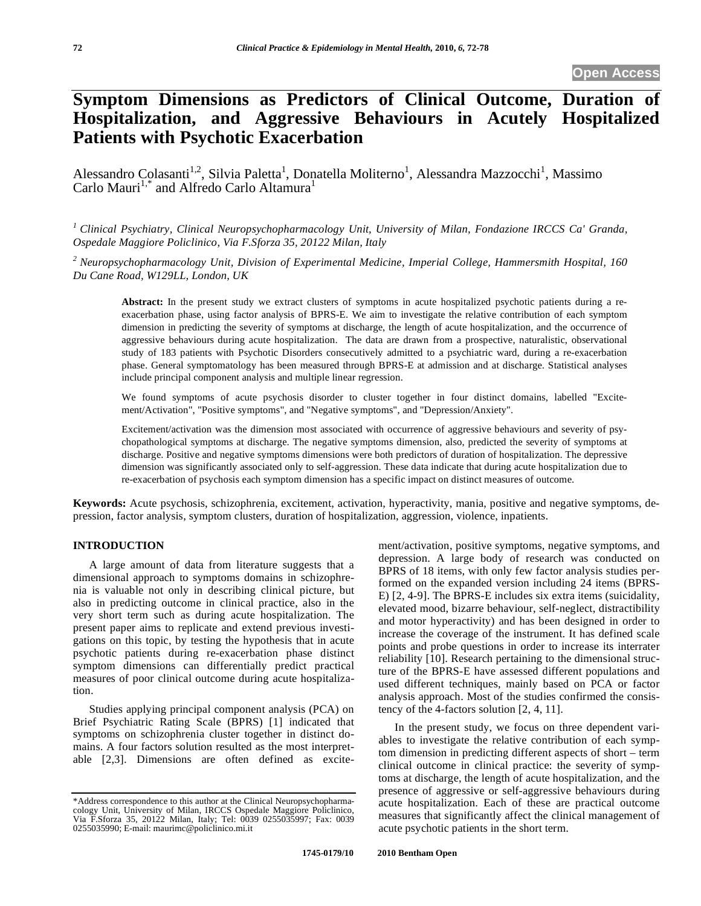# **Symptom Dimensions as Predictors of Clinical Outcome, Duration of Hospitalization, and Aggressive Behaviours in Acutely Hospitalized Patients with Psychotic Exacerbation**

Alessandro Colasanti<sup>1,2</sup>, Silvia Paletta<sup>1</sup>, Donatella Moliterno<sup>1</sup>, Alessandra Mazzocchi<sup>1</sup>, Massimo Carlo Mauri<sup>1,\*</sup> and Alfredo Carlo Altamura<sup>1</sup>

*1 Clinical Psychiatry, Clinical Neuropsychopharmacology Unit, University of Milan, Fondazione IRCCS Ca' Granda, Ospedale Maggiore Policlinico, Via F.Sforza 35, 20122 Milan, Italy* 

*2 Neuropsychopharmacology Unit, Division of Experimental Medicine, Imperial College, Hammersmith Hospital, 160 Du Cane Road, W129LL, London, UK* 

**Abstract:** In the present study we extract clusters of symptoms in acute hospitalized psychotic patients during a reexacerbation phase, using factor analysis of BPRS-E. We aim to investigate the relative contribution of each symptom dimension in predicting the severity of symptoms at discharge, the length of acute hospitalization, and the occurrence of aggressive behaviours during acute hospitalization. The data are drawn from a prospective, naturalistic, observational study of 183 patients with Psychotic Disorders consecutively admitted to a psychiatric ward, during a re-exacerbation phase. General symptomatology has been measured through BPRS-E at admission and at discharge. Statistical analyses include principal component analysis and multiple linear regression.

We found symptoms of acute psychosis disorder to cluster together in four distinct domains, labelled "Excitement/Activation", "Positive symptoms", and "Negative symptoms", and "Depression/Anxiety".

Excitement/activation was the dimension most associated with occurrence of aggressive behaviours and severity of psychopathological symptoms at discharge. The negative symptoms dimension, also, predicted the severity of symptoms at discharge. Positive and negative symptoms dimensions were both predictors of duration of hospitalization. The depressive dimension was significantly associated only to self-aggression. These data indicate that during acute hospitalization due to re-exacerbation of psychosis each symptom dimension has a specific impact on distinct measures of outcome.

**Keywords:** Acute psychosis, schizophrenia, excitement, activation, hyperactivity, mania, positive and negative symptoms, depression, factor analysis, symptom clusters, duration of hospitalization, aggression, violence, inpatients.

# **INTRODUCTION**

A large amount of data from literature suggests that a dimensional approach to symptoms domains in schizophrenia is valuable not only in describing clinical picture, but also in predicting outcome in clinical practice, also in the very short term such as during acute hospitalization. The present paper aims to replicate and extend previous investigations on this topic, by testing the hypothesis that in acute psychotic patients during re-exacerbation phase distinct symptom dimensions can differentially predict practical measures of poor clinical outcome during acute hospitalization.

Studies applying principal component analysis (PCA) on Brief Psychiatric Rating Scale (BPRS) [1] indicated that symptoms on schizophrenia cluster together in distinct domains. A four factors solution resulted as the most interpretable [2,3]. Dimensions are often defined as excitement/activation, positive symptoms, negative symptoms, and depression. A large body of research was conducted on BPRS of 18 items, with only few factor analysis studies performed on the expanded version including 24 items (BPRS-E) [2, 4-9]. The BPRS-E includes six extra items (suicidality, elevated mood, bizarre behaviour, self-neglect, distractibility and motor hyperactivity) and has been designed in order to increase the coverage of the instrument. It has defined scale points and probe questions in order to increase its interrater reliability [10]. Research pertaining to the dimensional structure of the BPRS-E have assessed different populations and used different techniques, mainly based on PCA or factor analysis approach. Most of the studies confirmed the consistency of the 4-factors solution [2, 4, 11].

In the present study, we focus on three dependent variables to investigate the relative contribution of each symptom dimension in predicting different aspects of short – term clinical outcome in clinical practice: the severity of symptoms at discharge, the length of acute hospitalization, and the presence of aggressive or self-aggressive behaviours during acute hospitalization. Each of these are practical outcome measures that significantly affect the clinical management of acute psychotic patients in the short term.

<sup>\*</sup>Address correspondence to this author at the Clinical Neuropsychopharmacology Unit, University of Milan, IRCCS Ospedale Maggiore Policlinico, Via F.Sforza 35, 20122 Milan, Italy; Tel: 0039 0255035997; Fax: 0039 0255035990; E-mail: maurimc@policlinico.mi.it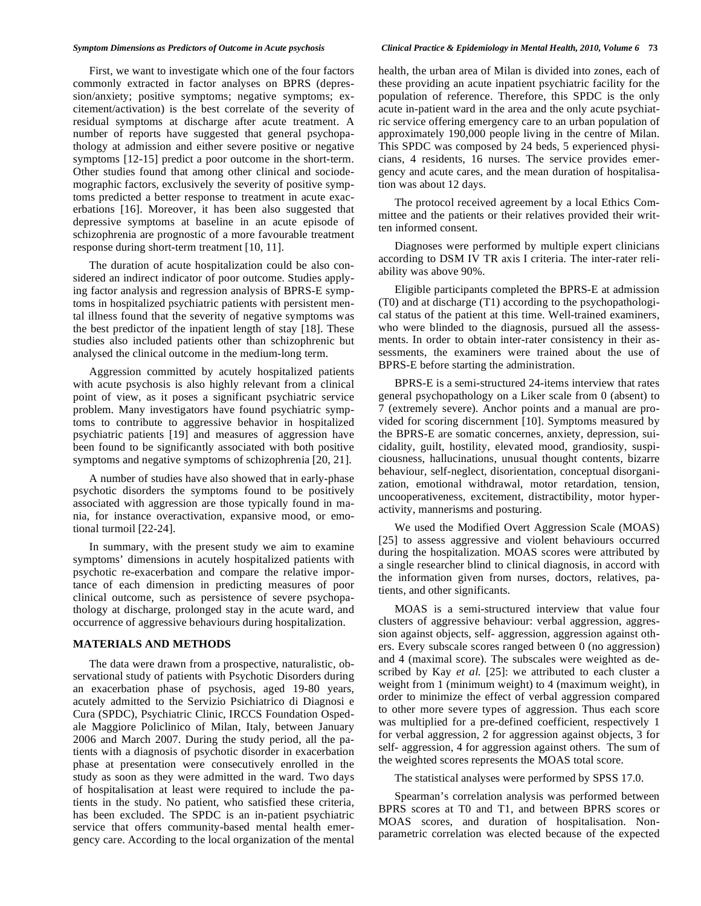First, we want to investigate which one of the four factors commonly extracted in factor analyses on BPRS (depression/anxiety; positive symptoms; negative symptoms; excitement/activation) is the best correlate of the severity of residual symptoms at discharge after acute treatment. A number of reports have suggested that general psychopathology at admission and either severe positive or negative symptoms [12-15] predict a poor outcome in the short-term. Other studies found that among other clinical and sociodemographic factors, exclusively the severity of positive symptoms predicted a better response to treatment in acute exacerbations [16]. Moreover, it has been also suggested that depressive symptoms at baseline in an acute episode of schizophrenia are prognostic of a more favourable treatment response during short-term treatment [10, 11].

The duration of acute hospitalization could be also considered an indirect indicator of poor outcome. Studies applying factor analysis and regression analysis of BPRS-E symptoms in hospitalized psychiatric patients with persistent mental illness found that the severity of negative symptoms was the best predictor of the inpatient length of stay [18]. These studies also included patients other than schizophrenic but analysed the clinical outcome in the medium-long term.

Aggression committed by acutely hospitalized patients with acute psychosis is also highly relevant from a clinical point of view, as it poses a significant psychiatric service problem. Many investigators have found psychiatric symptoms to contribute to aggressive behavior in hospitalized psychiatric patients [19] and measures of aggression have been found to be significantly associated with both positive symptoms and negative symptoms of schizophrenia [20, 21].

A number of studies have also showed that in early-phase psychotic disorders the symptoms found to be positively associated with aggression are those typically found in mania, for instance overactivation, expansive mood, or emotional turmoil [22-24].

In summary, with the present study we aim to examine symptoms' dimensions in acutely hospitalized patients with psychotic re-exacerbation and compare the relative importance of each dimension in predicting measures of poor clinical outcome, such as persistence of severe psychopathology at discharge, prolonged stay in the acute ward, and occurrence of aggressive behaviours during hospitalization.

#### **MATERIALS AND METHODS**

The data were drawn from a prospective, naturalistic, observational study of patients with Psychotic Disorders during an exacerbation phase of psychosis, aged 19-80 years, acutely admitted to the Servizio Psichiatrico di Diagnosi e Cura (SPDC), Psychiatric Clinic, IRCCS Foundation Ospedale Maggiore Policlinico of Milan, Italy, between January 2006 and March 2007. During the study period, all the patients with a diagnosis of psychotic disorder in exacerbation phase at presentation were consecutively enrolled in the study as soon as they were admitted in the ward. Two days of hospitalisation at least were required to include the patients in the study. No patient, who satisfied these criteria, has been excluded. The SPDC is an in-patient psychiatric service that offers community-based mental health emergency care. According to the local organization of the mental

#### *Symptom Dimensions as Predictors of Outcome in Acute psychosis Clinical Practice & Epidemiology in Mental Health, 2010, Volume 6* **73**

health, the urban area of Milan is divided into zones, each of these providing an acute inpatient psychiatric facility for the population of reference. Therefore, this SPDC is the only acute in-patient ward in the area and the only acute psychiatric service offering emergency care to an urban population of approximately 190,000 people living in the centre of Milan. This SPDC was composed by 24 beds, 5 experienced physicians, 4 residents, 16 nurses. The service provides emergency and acute cares, and the mean duration of hospitalisation was about 12 days.

The protocol received agreement by a local Ethics Committee and the patients or their relatives provided their written informed consent.

Diagnoses were performed by multiple expert clinicians according to DSM IV TR axis I criteria. The inter-rater reliability was above 90%.

Eligible participants completed the BPRS-E at admission (T0) and at discharge (T1) according to the psychopathological status of the patient at this time. Well-trained examiners, who were blinded to the diagnosis, pursued all the assessments. In order to obtain inter-rater consistency in their assessments, the examiners were trained about the use of BPRS-E before starting the administration.

BPRS-E is a semi-structured 24-items interview that rates general psychopathology on a Liker scale from 0 (absent) to 7 (extremely severe). Anchor points and a manual are provided for scoring discernment [10]. Symptoms measured by the BPRS-E are somatic concernes, anxiety, depression, suicidality, guilt, hostility, elevated mood, grandiosity, suspiciousness, hallucinations, unusual thought contents, bizarre behaviour, self-neglect, disorientation, conceptual disorganization, emotional withdrawal, motor retardation, tension, uncooperativeness, excitement, distractibility, motor hyperactivity, mannerisms and posturing.

We used the Modified Overt Aggression Scale (MOAS) [25] to assess aggressive and violent behaviours occurred during the hospitalization. MOAS scores were attributed by a single researcher blind to clinical diagnosis, in accord with the information given from nurses, doctors, relatives, patients, and other significants.

MOAS is a semi-structured interview that value four clusters of aggressive behaviour: verbal aggression, aggression against objects, self- aggression, aggression against others. Every subscale scores ranged between 0 (no aggression) and 4 (maximal score). The subscales were weighted as described by Kay *et al.* [25]: we attributed to each cluster a weight from 1 (minimum weight) to 4 (maximum weight), in order to minimize the effect of verbal aggression compared to other more severe types of aggression. Thus each score was multiplied for a pre-defined coefficient, respectively 1 for verbal aggression, 2 for aggression against objects, 3 for self- aggression, 4 for aggression against others. The sum of the weighted scores represents the MOAS total score.

The statistical analyses were performed by SPSS 17.0.

Spearman's correlation analysis was performed between BPRS scores at T0 and T1, and between BPRS scores or MOAS scores, and duration of hospitalisation. Nonparametric correlation was elected because of the expected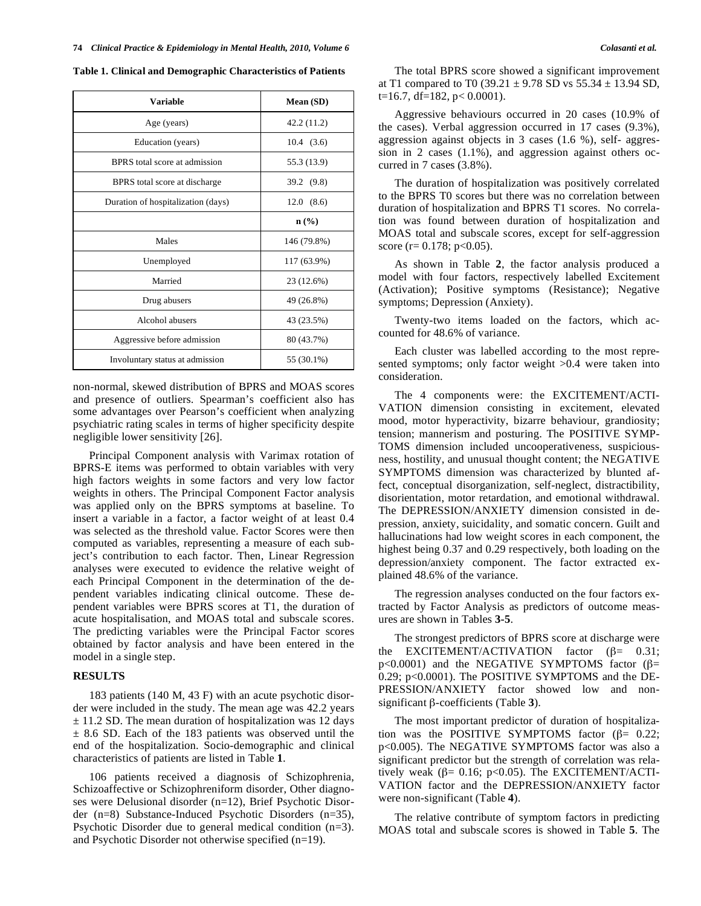**Table 1. Clinical and Demographic Characteristics of Patients** 

| <b>Variable</b>                    | Mean (SD)                   |
|------------------------------------|-----------------------------|
| Age (years)                        | 42.2 (11.2)                 |
| Education (years)                  | 10.4(3.6)                   |
| BPRS total score at admission      | 55.3 (13.9)                 |
| BPRS total score at discharge      | 39.2 (9.8)                  |
| Duration of hospitalization (days) | 12.0<br>(8.6)               |
|                                    | $n\left(\frac{0}{0}\right)$ |
| Males                              | 146 (79.8%)                 |
| Unemployed                         | 117 (63.9%)                 |
| Married                            | 23 (12.6%)                  |
| Drug abusers                       | 49 (26.8%)                  |
| Alcohol abusers                    | 43 (23.5%)                  |
| Aggressive before admission        | 80 (43.7%)                  |
| Involuntary status at admission    | 55 (30.1%)                  |

non-normal, skewed distribution of BPRS and MOAS scores and presence of outliers. Spearman's coefficient also has some advantages over Pearson's coefficient when analyzing psychiatric rating scales in terms of higher specificity despite negligible lower sensitivity [26].

Principal Component analysis with Varimax rotation of BPRS-E items was performed to obtain variables with very high factors weights in some factors and very low factor weights in others. The Principal Component Factor analysis was applied only on the BPRS symptoms at baseline. To insert a variable in a factor, a factor weight of at least 0.4 was selected as the threshold value. Factor Scores were then computed as variables, representing a measure of each subject's contribution to each factor. Then, Linear Regression analyses were executed to evidence the relative weight of each Principal Component in the determination of the dependent variables indicating clinical outcome. These dependent variables were BPRS scores at T1, the duration of acute hospitalisation, and MOAS total and subscale scores. The predicting variables were the Principal Factor scores obtained by factor analysis and have been entered in the model in a single step.

### **RESULTS**

183 patients (140 M, 43 F) with an acute psychotic disorder were included in the study. The mean age was 42.2 years ± 11.2 SD. The mean duration of hospitalization was 12 days  $\pm$  8.6 SD. Each of the 183 patients was observed until the end of the hospitalization. Socio-demographic and clinical characteristics of patients are listed in Table **1**.

106 patients received a diagnosis of Schizophrenia, Schizoaffective or Schizophreniform disorder, Other diagnoses were Delusional disorder (n=12), Brief Psychotic Disorder (n=8) Substance-Induced Psychotic Disorders (n=35), Psychotic Disorder due to general medical condition (n=3). and Psychotic Disorder not otherwise specified (n=19).

The total BPRS score showed a significant improvement at T1 compared to T0 (39.21  $\pm$  9.78 SD vs 55.34  $\pm$  13.94 SD,  $t=16.7$ , df=182, p< 0.0001).

Aggressive behaviours occurred in 20 cases (10.9% of the cases). Verbal aggression occurred in 17 cases (9.3%), aggression against objects in 3 cases (1.6 %), self- aggression in 2 cases (1.1%), and aggression against others occurred in 7 cases (3.8%).

The duration of hospitalization was positively correlated to the BPRS T0 scores but there was no correlation between duration of hospitalization and BPRS T1 scores. No correlation was found between duration of hospitalization and MOAS total and subscale scores, except for self-aggression score (r= 0.178; p< 0.05).

As shown in Table **2**, the factor analysis produced a model with four factors, respectively labelled Excitement (Activation); Positive symptoms (Resistance); Negative symptoms; Depression (Anxiety).

Twenty-two items loaded on the factors, which accounted for 48.6% of variance.

Each cluster was labelled according to the most represented symptoms; only factor weight  $>0.4$  were taken into consideration.

The 4 components were: the EXCITEMENT/ACTI-VATION dimension consisting in excitement, elevated mood, motor hyperactivity, bizarre behaviour, grandiosity; tension; mannerism and posturing. The POSITIVE SYMP-TOMS dimension included uncooperativeness, suspiciousness, hostility, and unusual thought content; the NEGATIVE SYMPTOMS dimension was characterized by blunted affect, conceptual disorganization, self-neglect, distractibility, disorientation, motor retardation, and emotional withdrawal. The DEPRESSION/ANXIETY dimension consisted in depression, anxiety, suicidality, and somatic concern. Guilt and hallucinations had low weight scores in each component, the highest being 0.37 and 0.29 respectively, both loading on the depression/anxiety component. The factor extracted explained 48.6% of the variance.

The regression analyses conducted on the four factors extracted by Factor Analysis as predictors of outcome measures are shown in Tables **3-5**.

The strongest predictors of BPRS score at discharge were the EXCITEMENT/ACTIVATION factor  $(\beta = 0.31)$ ;  $p<0.0001$ ) and the NEGATIVE SYMPTOMS factor ( $\beta$ = 0.29; p<0.0001). The POSITIVE SYMPTOMS and the DE-PRESSION/ANXIETY factor showed low and nonsignificant  $\beta$ -coefficients (Table 3).

The most important predictor of duration of hospitalization was the POSITIVE SYMPTOMS factor  $(\beta = 0.22)$ ; p<0.005). The NEGATIVE SYMPTOMS factor was also a significant predictor but the strength of correlation was relatively weak ( $\beta$ = 0.16; p<0.05). The EXCITEMENT/ACTI-VATION factor and the DEPRESSION/ANXIETY factor were non-significant (Table **4**).

The relative contribute of symptom factors in predicting MOAS total and subscale scores is showed in Table **5**. The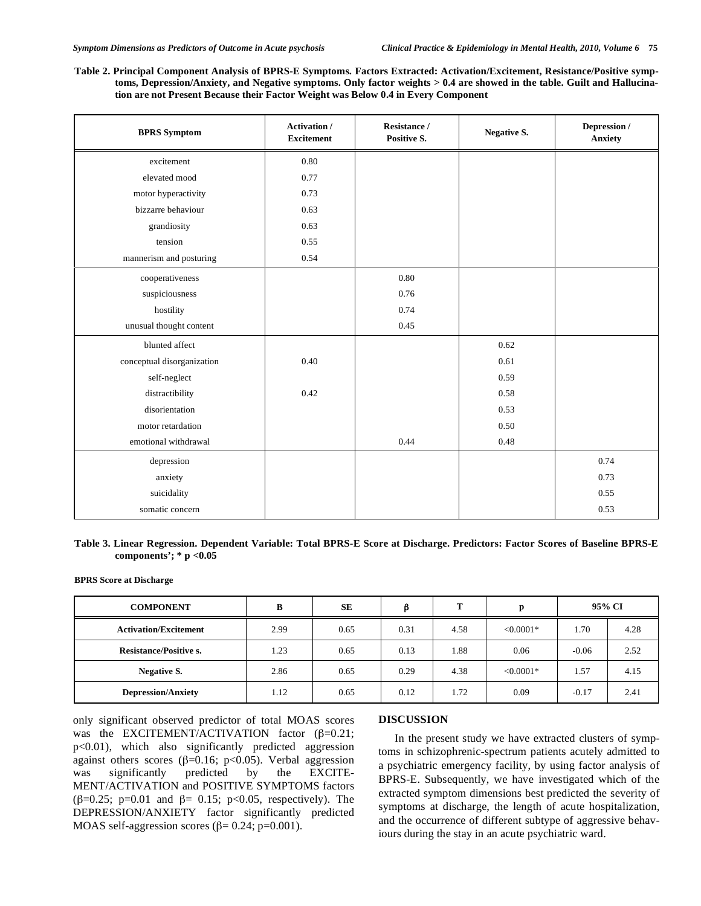**Table 2. Principal Component Analysis of BPRS-E Symptoms. Factors Extracted: Activation/Excitement, Resistance/Positive symptoms, Depression/Anxiety, and Negative symptoms. Only factor weights > 0.4 are showed in the table. Guilt and Hallucination are not Present Because their Factor Weight was Below 0.4 in Every Component** 

| <b>BPRS</b> Symptom        | <b>Activation</b> /<br><b>Excitement</b> | Resistance /<br>Positive S. | <b>Negative S.</b> | Depression /<br><b>Anxiety</b> |
|----------------------------|------------------------------------------|-----------------------------|--------------------|--------------------------------|
| excitement                 | 0.80                                     |                             |                    |                                |
| elevated mood              | 0.77                                     |                             |                    |                                |
| motor hyperactivity        | 0.73                                     |                             |                    |                                |
| bizzarre behaviour         | 0.63                                     |                             |                    |                                |
| grandiosity                | 0.63                                     |                             |                    |                                |
| tension                    | 0.55                                     |                             |                    |                                |
| mannerism and posturing    | 0.54                                     |                             |                    |                                |
| cooperativeness            |                                          | 0.80                        |                    |                                |
| suspiciousness             |                                          | 0.76                        |                    |                                |
| hostility                  |                                          | 0.74                        |                    |                                |
| unusual thought content    |                                          | 0.45                        |                    |                                |
| blunted affect             |                                          |                             | 0.62               |                                |
| conceptual disorganization | 0.40                                     |                             | 0.61               |                                |
| self-neglect               |                                          |                             | 0.59               |                                |
| distractibility            | 0.42                                     |                             | 0.58               |                                |
| disorientation             |                                          |                             | 0.53               |                                |
| motor retardation          |                                          |                             | 0.50               |                                |
| emotional withdrawal       |                                          | 0.44                        | 0.48               |                                |
| depression                 |                                          |                             |                    | 0.74                           |
| anxiety                    |                                          |                             |                    | 0.73                           |
| suicidality                |                                          |                             |                    | 0.55                           |
| somatic concern            |                                          |                             |                    | 0.53                           |

#### **Table 3. Linear Regression. Dependent Variable: Total BPRS-E Score at Discharge. Predictors: Factor Scores of Baseline BPRS-E components'; \* p <0.05**

**BPRS Score at Discharge** 

| <b>COMPONENT</b>              | в    | <b>SE</b> | ß    | т    | n           | 95% CI  |      |
|-------------------------------|------|-----------|------|------|-------------|---------|------|
| <b>Activation/Excitement</b>  | 2.99 | 0.65      | 0.31 | 4.58 | $< 0.0001*$ | 1.70    | 4.28 |
| <b>Resistance/Positive s.</b> | 1.23 | 0.65      | 0.13 | 1.88 | 0.06        | $-0.06$ | 2.52 |
| Negative S.                   | 2.86 | 0.65      | 0.29 | 4.38 | $< 0.0001*$ | 1.57    | 4.15 |
| <b>Depression/Anxiety</b>     | 1.12 | 0.65      | 0.12 | 1.72 | 0.09        | $-0.17$ | 2.41 |

only significant observed predictor of total MOAS scores was the EXCITEMENT/ACTIVATION factor  $(\beta=0.21)$ ; p<0.01), which also significantly predicted aggression against others scores ( $\beta$ =0.16; p<0.05). Verbal aggression was significantly predicted by the EXCITE-MENT/ACTIVATION and POSITIVE SYMPTOMS factors ( $\beta$ =0.25; p=0.01 and  $\beta$ = 0.15; p<0.05, respectively). The DEPRESSION/ANXIETY factor significantly predicted MOAS self-aggression scores ( $\beta$ = 0.24; p=0.001).

## **DISCUSSION**

In the present study we have extracted clusters of symptoms in schizophrenic-spectrum patients acutely admitted to a psychiatric emergency facility, by using factor analysis of BPRS-E. Subsequently, we have investigated which of the extracted symptom dimensions best predicted the severity of symptoms at discharge, the length of acute hospitalization, and the occurrence of different subtype of aggressive behaviours during the stay in an acute psychiatric ward.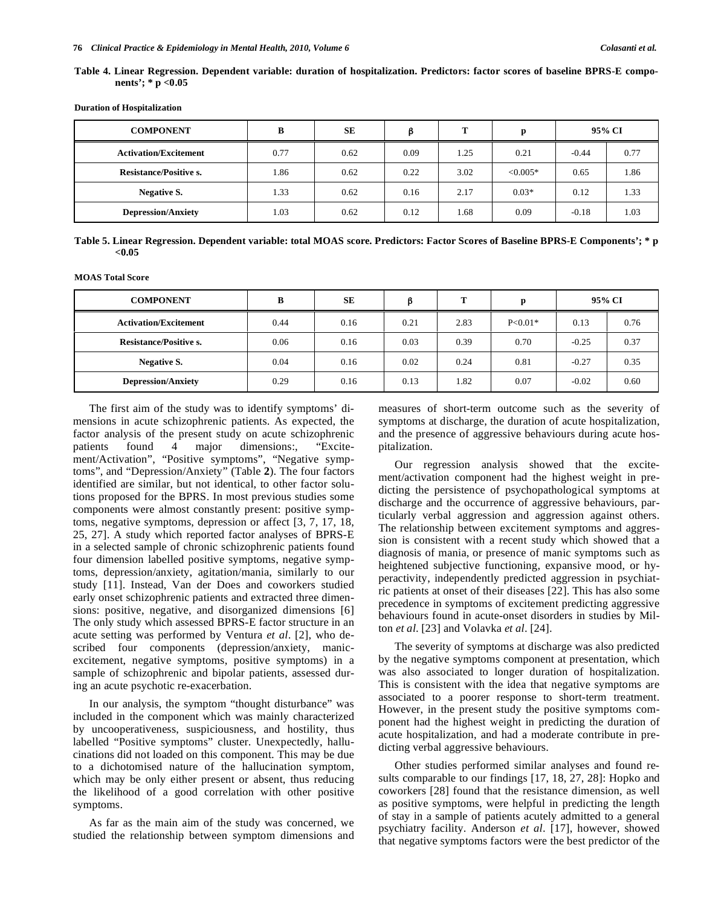| Table 4. Linear Regression. Dependent variable: duration of hospitalization. Predictors: factor scores of baseline BPRS-E compo- |  |  |  |  |
|----------------------------------------------------------------------------------------------------------------------------------|--|--|--|--|
| nents'; * p < $0.05$                                                                                                             |  |  |  |  |

**Duration of Hospitalization** 

| <b>COMPONENT</b>              | В    | <b>SE</b> |      | m    | n          | 95% CI  |      |
|-------------------------------|------|-----------|------|------|------------|---------|------|
| <b>Activation/Excitement</b>  | 0.77 | 0.62      | 0.09 | 1.25 | 0.21       | $-0.44$ | 0.77 |
| <b>Resistance/Positive s.</b> | 1.86 | 0.62      | 0.22 | 3.02 | $< 0.005*$ | 0.65    | 1.86 |
| Negative S.                   | 1.33 | 0.62      | 0.16 | 2.17 | $0.03*$    | 0.12    | 1.33 |
| <b>Depression/Anxiety</b>     | 1.03 | 0.62      | 0.12 | 1.68 | 0.09       | $-0.18$ | 1.03 |

|       | Table 5. Linear Regression. Dependent variable: total MOAS score. Predictors: Factor Scores of Baseline BPRS-E Components'; * p |  |  |
|-------|---------------------------------------------------------------------------------------------------------------------------------|--|--|
| <0.05 |                                                                                                                                 |  |  |

**MOAS Total Score** 

| <b>COMPONENT</b>              | B    | SE   |      | m    | n         | 95% CI  |      |
|-------------------------------|------|------|------|------|-----------|---------|------|
| <b>Activation/Excitement</b>  | 0.44 | 0.16 | 0.21 | 2.83 | $P<0.01*$ | 0.13    | 0.76 |
| <b>Resistance/Positive s.</b> | 0.06 | 0.16 | 0.03 | 0.39 | 0.70      | $-0.25$ | 0.37 |
| <b>Negative S.</b>            | 0.04 | 0.16 | 0.02 | 0.24 | 0.81      | $-0.27$ | 0.35 |
| <b>Depression/Anxiety</b>     | 0.29 | 0.16 | 0.13 | 1.82 | 0.07      | $-0.02$ | 0.60 |

The first aim of the study was to identify symptoms' dimensions in acute schizophrenic patients. As expected, the factor analysis of the present study on acute schizophrenic patients found 4 major dimensions:, "Excitement/Activation", "Positive symptoms", "Negative symptoms", and "Depression/Anxiety" (Table **2**). The four factors identified are similar, but not identical, to other factor solutions proposed for the BPRS. In most previous studies some components were almost constantly present: positive symptoms, negative symptoms, depression or affect [3, 7, 17, 18, 25, 27]. A study which reported factor analyses of BPRS-E in a selected sample of chronic schizophrenic patients found four dimension labelled positive symptoms, negative symptoms, depression/anxiety, agitation/mania, similarly to our study [11]. Instead, Van der Does and coworkers studied early onset schizophrenic patients and extracted three dimensions: positive, negative, and disorganized dimensions [6] The only study which assessed BPRS-E factor structure in an acute setting was performed by Ventura *et al*. [2], who described four components (depression/anxiety, manicexcitement, negative symptoms, positive symptoms) in a sample of schizophrenic and bipolar patients, assessed during an acute psychotic re-exacerbation.

In our analysis, the symptom "thought disturbance" was included in the component which was mainly characterized by uncooperativeness, suspiciousness, and hostility, thus labelled "Positive symptoms" cluster. Unexpectedly, hallucinations did not loaded on this component. This may be due to a dichotomised nature of the hallucination symptom, which may be only either present or absent, thus reducing the likelihood of a good correlation with other positive symptoms.

As far as the main aim of the study was concerned, we studied the relationship between symptom dimensions and measures of short-term outcome such as the severity of symptoms at discharge, the duration of acute hospitalization, and the presence of aggressive behaviours during acute hospitalization.

Our regression analysis showed that the excitement/activation component had the highest weight in predicting the persistence of psychopathological symptoms at discharge and the occurrence of aggressive behaviours, particularly verbal aggression and aggression against others. The relationship between excitement symptoms and aggression is consistent with a recent study which showed that a diagnosis of mania, or presence of manic symptoms such as heightened subjective functioning, expansive mood, or hyperactivity, independently predicted aggression in psychiatric patients at onset of their diseases [22]. This has also some precedence in symptoms of excitement predicting aggressive behaviours found in acute-onset disorders in studies by Milton *et al*. [23] and Volavka *et al*. [24].

The severity of symptoms at discharge was also predicted by the negative symptoms component at presentation, which was also associated to longer duration of hospitalization. This is consistent with the idea that negative symptoms are associated to a poorer response to short-term treatment. However, in the present study the positive symptoms component had the highest weight in predicting the duration of acute hospitalization, and had a moderate contribute in predicting verbal aggressive behaviours.

Other studies performed similar analyses and found results comparable to our findings [17, 18, 27, 28]: Hopko and coworkers [28] found that the resistance dimension, as well as positive symptoms, were helpful in predicting the length of stay in a sample of patients acutely admitted to a general psychiatry facility. Anderson *et al*. [17], however, showed that negative symptoms factors were the best predictor of the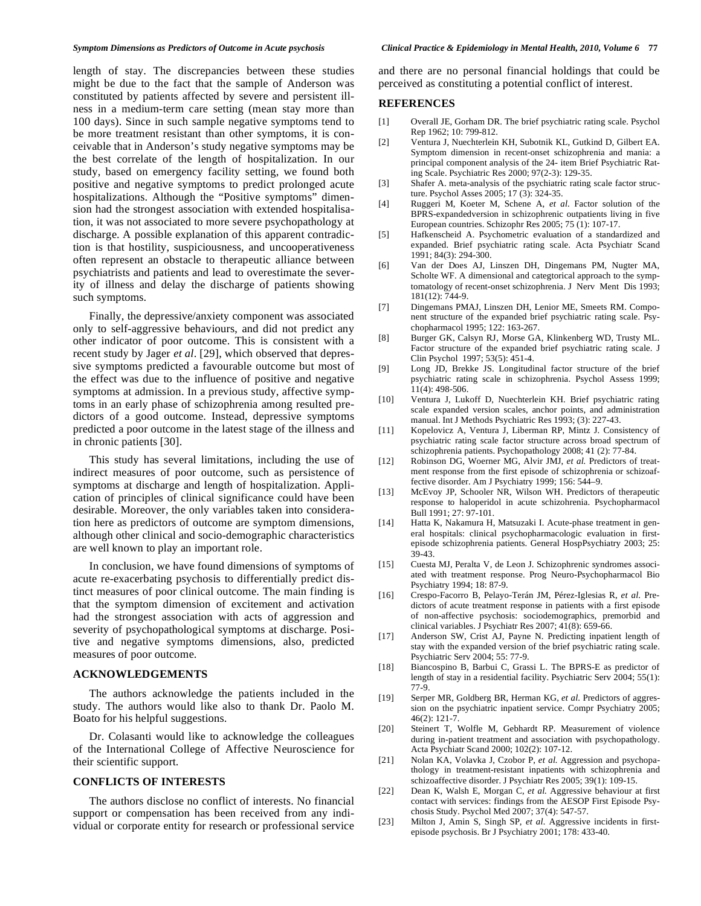length of stay. The discrepancies between these studies might be due to the fact that the sample of Anderson was constituted by patients affected by severe and persistent illness in a medium-term care setting (mean stay more than 100 days). Since in such sample negative symptoms tend to be more treatment resistant than other symptoms, it is conceivable that in Anderson's study negative symptoms may be the best correlate of the length of hospitalization. In our study, based on emergency facility setting, we found both positive and negative symptoms to predict prolonged acute hospitalizations. Although the "Positive symptoms" dimension had the strongest association with extended hospitalisation, it was not associated to more severe psychopathology at discharge. A possible explanation of this apparent contradiction is that hostility, suspiciousness, and uncooperativeness often represent an obstacle to therapeutic alliance between psychiatrists and patients and lead to overestimate the severity of illness and delay the discharge of patients showing such symptoms.

Finally, the depressive/anxiety component was associated only to self-aggressive behaviours, and did not predict any other indicator of poor outcome. This is consistent with a recent study by Jager *et al*. [29], which observed that depressive symptoms predicted a favourable outcome but most of the effect was due to the influence of positive and negative symptoms at admission. In a previous study, affective symptoms in an early phase of schizophrenia among resulted predictors of a good outcome. Instead, depressive symptoms predicted a poor outcome in the latest stage of the illness and in chronic patients [30].

This study has several limitations, including the use of indirect measures of poor outcome, such as persistence of symptoms at discharge and length of hospitalization. Application of principles of clinical significance could have been desirable. Moreover, the only variables taken into consideration here as predictors of outcome are symptom dimensions, although other clinical and socio-demographic characteristics are well known to play an important role.

In conclusion, we have found dimensions of symptoms of acute re-exacerbating psychosis to differentially predict distinct measures of poor clinical outcome. The main finding is that the symptom dimension of excitement and activation had the strongest association with acts of aggression and severity of psychopathological symptoms at discharge. Positive and negative symptoms dimensions, also, predicted measures of poor outcome.

#### **ACKNOWLEDGEMENTS**

The authors acknowledge the patients included in the study. The authors would like also to thank Dr. Paolo M. Boato for his helpful suggestions.

Dr. Colasanti would like to acknowledge the colleagues of the International College of Affective Neuroscience for their scientific support.

#### **CONFLICTS OF INTERESTS**

The authors disclose no conflict of interests. No financial support or compensation has been received from any individual or corporate entity for research or professional service and there are no personal financial holdings that could be perceived as constituting a potential conflict of interest.

#### **REFERENCES**

- [1] Overall JE, Gorham DR. The brief psychiatric rating scale. Psychol Rep 1962; 10: 799-812.
- [2] Ventura J, Nuechterlein KH, Subotnik KL, Gutkind D, Gilbert EA. Symptom dimension in recent-onset schizophrenia and mania: a principal component analysis of the 24- item Brief Psychiatric Rating Scale. Psychiatric Res 2000; 97(2-3): 129-35.
- [3] Shafer A. meta-analysis of the psychiatric rating scale factor structure. Psychol Asses 2005; 17 (3): 324-35.
- [4] Ruggeri M, Koeter M, Schene A, *et al*. Factor solution of the BPRS-expandedversion in schizophrenic outpatients living in five European countries. Schizophr Res 2005; 75 (1): 107-17.
- [5] Hafkenscheid A. Psychometric evaluation of a standardized and expanded. Brief psychiatric rating scale. Acta Psychiatr Scand 1991; 84(3): 294-300.
- [6] Van der Does AJ, Linszen DH, Dingemans PM, Nugter MA, Scholte WF. A dimensional and categtorical approach to the symptomatology of recent-onset schizophrenia. J Nerv Ment Dis 1993; 181(12): 744-9.
- [7] Dingemans PMAJ, Linszen DH, Lenior ME, Smeets RM. Component structure of the expanded brief psychiatric rating scale. Psychopharmacol 1995; 122: 163-267.
- [8] Burger GK, Calsyn RJ, Morse GA, Klinkenberg WD, Trusty ML. Factor structure of the expanded brief psychiatric rating scale. J Clin Psychol 1997; 53(5): 451-4.
- [9] Long JD, Brekke JS. Longitudinal factor structure of the brief psychiatric rating scale in schizophrenia. Psychol Assess 1999; 11(4): 498-506.
- [10] Ventura J, Lukoff D, Nuechterlein KH. Brief psychiatric rating scale expanded version scales, anchor points, and administration manual. Int J Methods Psychiatric Res 1993; (3): 227-43.
- [11] Kopelovicz A, Ventura J, Liberman RP, Mintz J. Consistency of psychiatric rating scale factor structure across broad spectrum of schizophrenia patients. Psychopathology 2008; 41 (2): 77-84.
- [12] Robinson DG, Woerner MG, Alvir JMJ, et al. Predictors of treatment response from the first episode of schizophrenia or schizoaffective disorder. Am J Psychiatry 1999; 156: 544–9.
- [13] McEvoy JP, Schooler NR, Wilson WH. Predictors of therapeutic response to haloperidol in acute schizohrenia. Psychopharmacol Bull 1991; 27: 97-101.
- [14] Hatta K, Nakamura H, Matsuzaki I. Acute-phase treatment in general hospitals: clinical psychopharmacologic evaluation in firstepisode schizophrenia patients. General HospPsychiatry 2003; 25: 39-43.
- [15] Cuesta MJ, Peralta V, de Leon J. Schizophrenic syndromes associated with treatment response. Prog Neuro-Psychopharmacol Bio Psychiatry 1994; 18: 87-9.
- [16] Crespo-Facorro B, Pelayo-Terán JM, Pérez-Iglesias R, *et al*. Predictors of acute treatment response in patients with a first episode of non-affective psychosis: sociodemographics, premorbid and clinical variables. J Psychiatr Res 2007; 41(8): 659-66.
- [17] Anderson SW, Crist AJ, Payne N. Predicting inpatient length of stay with the expanded version of the brief psychiatric rating scale. Psychiatric Serv 2004; 55: 77-9.
- [18] Biancospino B, Barbui C, Grassi L. The BPRS-E as predictor of length of stay in a residential facility. Psychiatric Serv 2004; 55(1): 77-9.
- [19] Serper MR, Goldberg BR, Herman KG, *et al*. Predictors of aggression on the psychiatric inpatient service. Compr Psychiatry 2005; 46(2): 121-7.
- [20] Steinert T, Wolfle M, Gebhardt RP. Measurement of violence during in-patient treatment and association with psychopathology. Acta Psychiatr Scand 2000; 102(2): 107-12.
- [21] Nolan KA, Volavka J, Czobor P, *et al.* Aggression and psychopathology in treatment-resistant inpatients with schizophrenia and schizoaffective disorder. J Psychiatr Res 2005; 39(1): 109-15.
- [22] Dean K, Walsh E, Morgan C, *et al.* Aggressive behaviour at first contact with services: findings from the AESOP First Episode Psychosis Study. Psychol Med 2007; 37(4): 547-57.
- [23] Milton J, Amin S, Singh SP, *et al.* Aggressive incidents in firstepisode psychosis. Br J Psychiatry 2001; 178: 433-40.